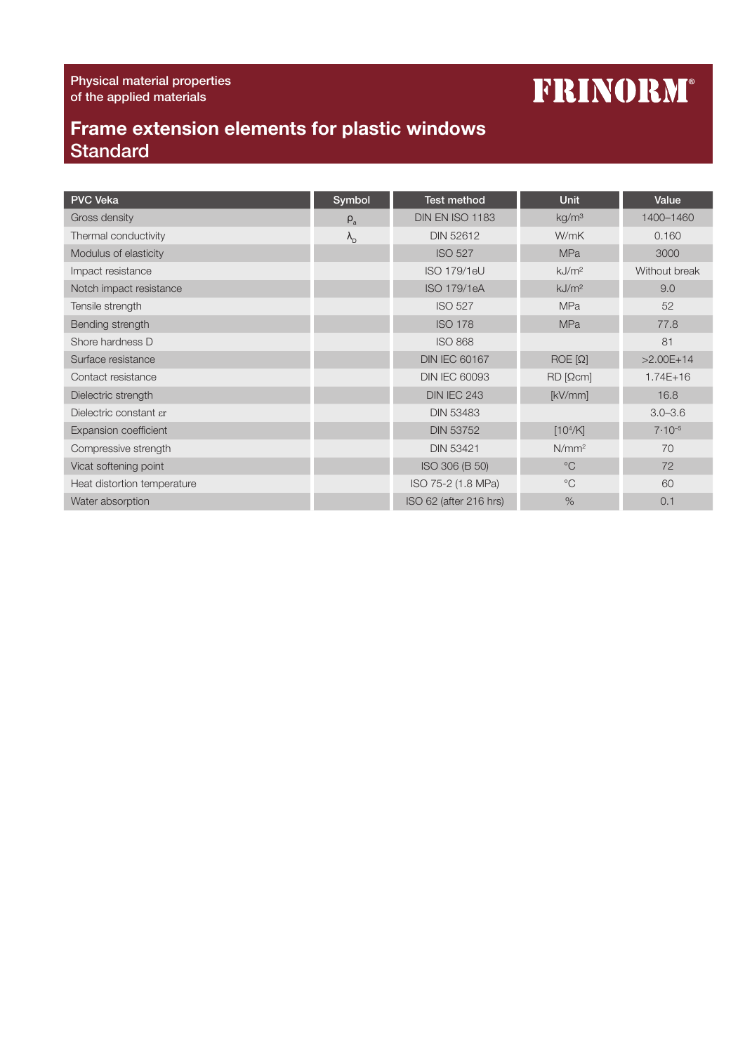## **FRINORM®**

## Frame extension elements for plastic windows **Standard**

| <b>PVC Veka</b>                  | Symbol            | <b>Test method</b>     | <b>Unit</b>          | Value         |
|----------------------------------|-------------------|------------------------|----------------------|---------------|
| Gross density                    | $\rho_a$          | DIN EN ISO 1183        | kg/m <sup>3</sup>    | 1400-1460     |
| Thermal conductivity             | $\lambda_{\rm D}$ | <b>DIN 52612</b>       | W/mK                 | 0.160         |
| Modulus of elasticity            |                   | <b>ISO 527</b>         | <b>MPa</b>           | 3000          |
| Impact resistance                |                   | <b>ISO 179/1eU</b>     | kJ/m <sup>2</sup>    | Without break |
| Notch impact resistance          |                   | <b>ISO 179/1eA</b>     | kJ/m <sup>2</sup>    | 9.0           |
| Tensile strength                 |                   | <b>ISO 527</b>         | <b>MPa</b>           | 52            |
| Bending strength                 |                   | <b>ISO 178</b>         | <b>MPa</b>           | 77.8          |
| Shore hardness D                 |                   | <b>ISO 868</b>         |                      | 81            |
| Surface resistance               |                   | <b>DIN IEC 60167</b>   | $ROE[\Omega]$        | $>2.00E+14$   |
| Contact resistance               |                   | <b>DIN IEC 60093</b>   | $RD$ [ $\Omega$ cm]  | $1.74E + 16$  |
| Dielectric strength              |                   | <b>DIN IEC 243</b>     | [kV/mm]              | 16.8          |
| Dielectric constant $\epsilon$ r |                   | <b>DIN 53483</b>       |                      | $3.0 - 3.6$   |
| <b>Expansion coefficient</b>     |                   | <b>DIN 53752</b>       | [10 <sup>4</sup> /K] | $7.10^{-5}$   |
| Compressive strength             |                   | <b>DIN 53421</b>       | N/mm <sup>2</sup>    | 70            |
| Vicat softening point            |                   | ISO 306 (B 50)         | $^{\circ}C$          | 72            |
| Heat distortion temperature      |                   | ISO 75-2 (1.8 MPa)     | $^{\circ}C$          | 60            |
| Water absorption                 |                   | ISO 62 (after 216 hrs) | $\%$                 | 0.1           |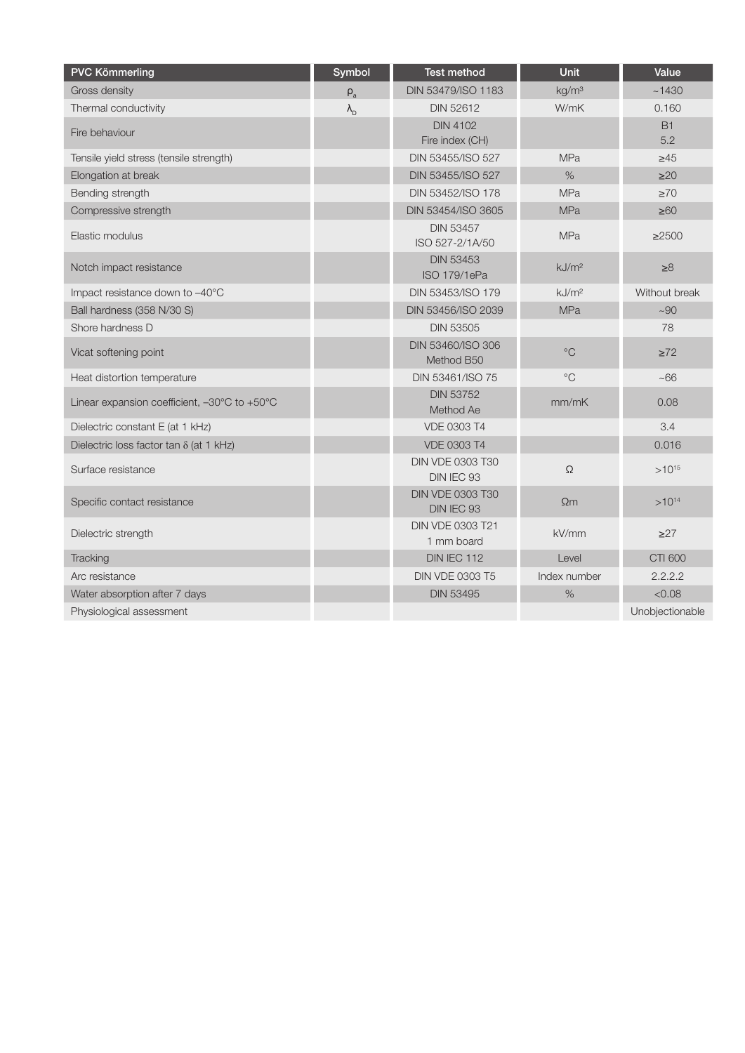| <b>PVC Kömmerling</b>                          | Symbol            | Test method                           | Unit              | Value            |
|------------------------------------------------|-------------------|---------------------------------------|-------------------|------------------|
| Gross density                                  | $\rho_{\rm a}$    | DIN 53479/ISO 1183                    | kg/m <sup>3</sup> | ~1430            |
| Thermal conductivity                           | $\lambda_{\rm D}$ | <b>DIN 52612</b>                      | W/mK              | 0.160            |
| Fire behaviour                                 |                   | <b>DIN 4102</b><br>Fire index (CH)    |                   | <b>B1</b><br>5.2 |
| Tensile yield stress (tensile strength)        |                   | DIN 53455/ISO 527                     | <b>MPa</b>        | $\geq 45$        |
| Elongation at break                            |                   | DIN 53455/ISO 527                     | $\frac{0}{0}$     | $\geq$ 20        |
| Bending strength                               |                   | DIN 53452/ISO 178                     | <b>MPa</b>        | $\geq 70$        |
| Compressive strength                           |                   | DIN 53454/ISO 3605                    | <b>MPa</b>        | $\geq 60$        |
| Elastic modulus                                |                   | <b>DIN 53457</b><br>ISO 527-2/1A/50   | <b>MPa</b>        | $\geq 2500$      |
| Notch impact resistance                        |                   | <b>DIN 53453</b><br>ISO 179/1ePa      | kJ/m <sup>2</sup> | $\geq 8$         |
| Impact resistance down to -40°C                |                   | DIN 53453/ISO 179                     | kJ/m <sup>2</sup> | Without break    |
| Ball hardness (358 N/30 S)                     |                   | DIN 53456/ISO 2039                    | <b>MPa</b>        | ~100             |
| Shore hardness D                               |                   | <b>DIN 53505</b>                      |                   | 78               |
| Vicat softening point                          |                   | DIN 53460/ISO 306<br>Method B50       | $^{\circ}$ C      | $\geq 72$        |
| Heat distortion temperature                    |                   | DIN 53461/ISO 75                      | $^{\circ}C$       | ~100             |
| Linear expansion coefficient, -30°C to +50°C   |                   | <b>DIN 53752</b><br>Method Ae         | mm/mK             | 0.08             |
| Dielectric constant E (at 1 kHz)               |                   | <b>VDE 0303 T4</b>                    |                   | 3.4              |
| Dielectric loss factor $tan \delta$ (at 1 kHz) |                   | <b>VDE 0303 T4</b>                    |                   | 0.016            |
| Surface resistance                             |                   | <b>DIN VDE 0303 T30</b><br>DIN IEC 93 | $\Omega$          | $>10^{15}$       |
| Specific contact resistance                    |                   | <b>DIN VDE 0303 T30</b><br>DIN IEC 93 | $\Omega$ m        | $>10^{14}$       |
| Dielectric strength                            |                   | DIN VDE 0303 T21<br>1 mm board        | kV/mm             | $\geq$ 27        |
| Tracking                                       |                   | <b>DIN IEC 112</b>                    | Level             | <b>CTI 600</b>   |
| Arc resistance                                 |                   | <b>DIN VDE 0303 T5</b>                | Index number      | 2.2.2.2          |
| Water absorption after 7 days                  |                   | <b>DIN 53495</b>                      | $\%$              | < 0.08           |
| Physiological assessment                       |                   |                                       |                   | Unobjectionable  |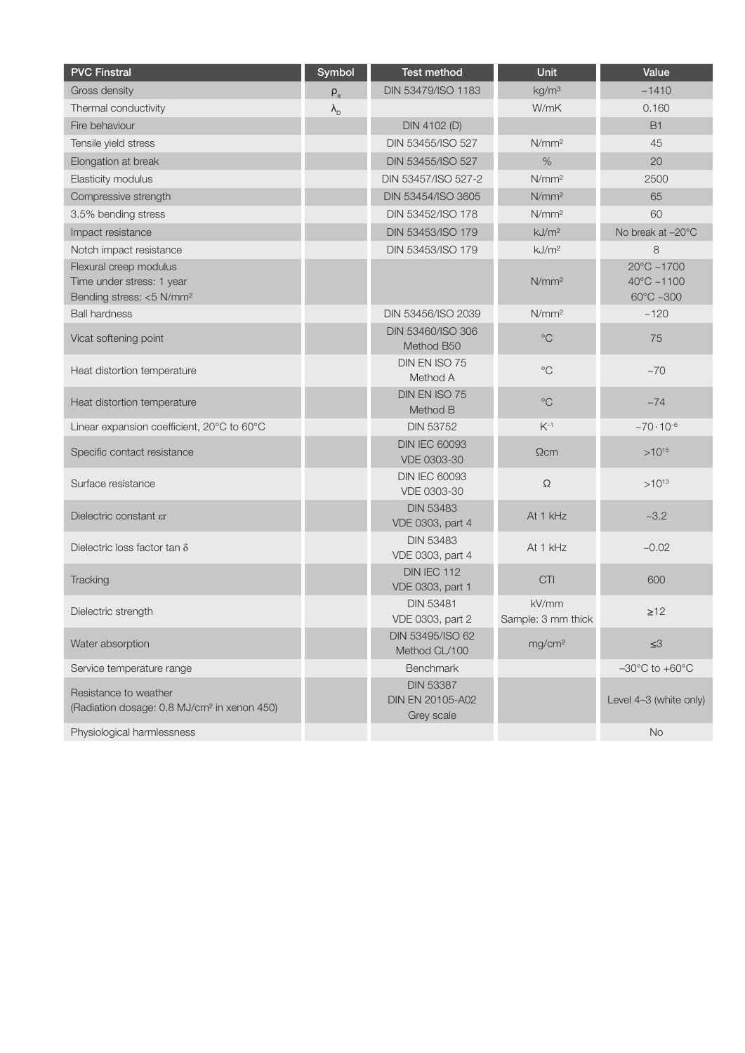| <b>PVC Finstral</b>                                                                         | Symbol            | Test method                                               | Unit                        | Value                                                               |
|---------------------------------------------------------------------------------------------|-------------------|-----------------------------------------------------------|-----------------------------|---------------------------------------------------------------------|
| Gross density                                                                               | $\rho_{\rm a}$    | DIN 53479/ISO 1183                                        | kg/m <sup>3</sup>           | ~1410                                                               |
| Thermal conductivity                                                                        | $\lambda_{\rm D}$ |                                                           | W/mK                        | 0.160                                                               |
| Fire behaviour                                                                              |                   | DIN 4102 (D)                                              |                             | <b>B1</b>                                                           |
| Tensile yield stress                                                                        |                   | DIN 53455/ISO 527                                         | N/mm <sup>2</sup>           | 45                                                                  |
| Elongation at break                                                                         |                   | DIN 53455/ISO 527                                         | $\%$                        | 20                                                                  |
| Elasticity modulus                                                                          |                   | DIN 53457/ISO 527-2                                       | N/mm <sup>2</sup>           | 2500                                                                |
| Compressive strength                                                                        |                   | DIN 53454/ISO 3605                                        | N/mm <sup>2</sup>           | 65                                                                  |
| 3.5% bending stress                                                                         |                   | DIN 53452/ISO 178                                         | N/mm <sup>2</sup>           | 60                                                                  |
| Impact resistance                                                                           |                   | DIN 53453/ISO 179                                         | kJ/m <sup>2</sup>           | No break at -20°C                                                   |
| Notch impact resistance                                                                     |                   | DIN 53453/ISO 179                                         | kJ/m <sup>2</sup>           | 8                                                                   |
| Flexural creep modulus<br>Time under stress: 1 year<br>Bending stress: <5 N/mm <sup>2</sup> |                   |                                                           | N/mm <sup>2</sup>           | $20^{\circ}$ C ~1700<br>$40^{\circ}$ C ~1100<br>$60^{\circ}$ C ~300 |
| <b>Ball hardness</b>                                                                        |                   | DIN 53456/ISO 2039                                        | N/mm <sup>2</sup>           | ~120                                                                |
| Vicat softening point                                                                       |                   | DIN 53460/ISO 306<br>Method B50                           | $^{\circ}C$                 | 75                                                                  |
| Heat distortion temperature                                                                 |                   | DIN EN ISO 75<br>Method A                                 | $^{\circ}C$                 | $~10-70$                                                            |
| Heat distortion temperature                                                                 |                   | DIN EN ISO 75<br>Method B                                 | $^{\circ}C$                 | $~1 - 74$                                                           |
| Linear expansion coefficient, 20°C to 60°C                                                  |                   | <b>DIN 53752</b>                                          | $K^{-1}$                    | $~10^{-6}$                                                          |
| Specific contact resistance                                                                 |                   | <b>DIN IEC 60093</b><br>VDE 0303-30                       | $\Omega$ cm                 | $>10^{15}$                                                          |
| Surface resistance                                                                          |                   | <b>DIN IEC 60093</b><br>VDE 0303-30                       | $\Omega$                    | $>10^{13}$                                                          |
| Dielectric constant ar                                                                      |                   | <b>DIN 53483</b><br>VDE 0303, part 4                      | At 1 kHz                    | $~1 - 3.2$                                                          |
| Dielectric loss factor tan $\delta$                                                         |                   | <b>DIN 53483</b><br>VDE 0303, part 4                      | At 1 kHz                    | $-0.02$                                                             |
| Tracking                                                                                    |                   | DIN IEC 112<br>VDE 0303, part 1                           | <b>CTI</b>                  | 600                                                                 |
| Dielectric strength                                                                         |                   | <b>DIN 53481</b><br>VDE 0303, part 2                      | kV/mm<br>Sample: 3 mm thick | $\geq 12$                                                           |
| Water absorption                                                                            |                   | DIN 53495/ISO 62<br>Method CL/100                         | mg/cm <sup>2</sup>          | $\leq 3$                                                            |
| Service temperature range                                                                   |                   | <b>Benchmark</b>                                          |                             | $-30^{\circ}$ C to $+60^{\circ}$ C                                  |
| Resistance to weather<br>(Radiation dosage: 0.8 MJ/cm <sup>2</sup> in xenon 450)            |                   | <b>DIN 53387</b><br><b>DIN EN 20105-A02</b><br>Grey scale |                             | Level 4-3 (white only)                                              |
| Physiological harmlessness                                                                  |                   |                                                           |                             | <b>No</b>                                                           |